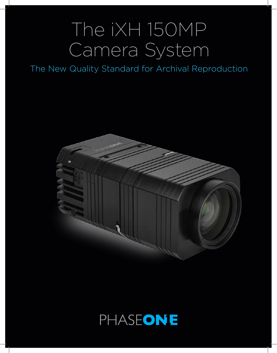# The iXH 150MP Camera System

### The New Quality Standard for Archival Reproduction



## PHASEONE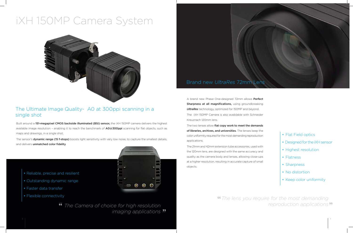## iXH 150MP Camera System



Built around a 151-megapixel CMOS backside illuminated (BSI) sensor, the iXH 150MP camera delivers the highest available image resolution - enabling it to reach the benchmark of A0@300ppi scanning for flat objects, such as maps and drawings, in a single shot.

The sensor's **dynamic range (15 f-stops)** boosts light sensitivity with very low noise, to capture the smallest details, and delivers unmatched color fidelity



- Reliable, precise and resilient
- Outstanding dynamic range
- Faster data transfer
- Flexible connectivity

The two lenses allow flat copy work to meet the demands of libraries, archives, and universities. The lenses keep the color uniformity required for the most demanding reproduction applications.

*The Camera of choice for high resolution*  " *imaging applications* " A brand new Phase One-designed 72mm allows Perfect Sharpness at all magnifications, using groundbreaking *UltraRes* technology, optimized for 150MP and beyond. The iXH 150MP Camera is also avaiblable with Schneider Kreuznach 120mm lens.

The 21mm and 42mm extension tube accessories, used with the 120mm lens, are designed with the same accuracy and quality as the camera body and lenses, allowing close-ups at a higher resolution, resulting in accurate capture of small objects.

### Brand new *UltraRes* 72mm Lens

- Flat Field optics
- Designed for the iXH sensor
- Highest resolution
- Flatness
- Sharpness
- No distortion
- Keep color uniformity

*The lens you require for the most demanding*  " *reproduction applications*  "



- 
- 
- 
- 
- 
- 

#### The Ultimate Image Quality- A0 at 300ppi scanning in a single shot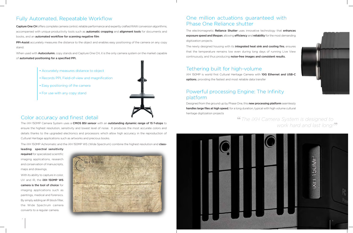### One million actuations guaranteed with Phase One Reliance shutter

The electromagnetic Reliance Shutter uses innovative technology that enhances exposure speed and lifespan, allowing efficiency and reliability for the most demanding digitization projects.

The newly designed housing with its **integrated heat sink and cooling fins**, ensures that the temperature remains low even during long days of running Live View continuously, and thus producing noise-free images and consistent results.

Designed from the ground up by Phase One, this new processing platform seamlessly handles large files at high speed, for a long duration, typical with high volume cultural heritage digitization projects

## *The iXH Camera System is designed to*  " work hard and last long!<sup>"</sup>

### Tethering built for high-volume

iXH 150MP is world first Cultural Heritage Camera with 10G Ethernet and USB-C options, providing the fastest and most reliable data transfer

### Powerful processing Engine: The Infinity platform

The iXH 150MP Camera System uses a CMOS BSI sensor with an outstanding dynamic range of 15 f-stops to ensure the highest resolution, sensitivity and lowest level of noise. It produces the most accurate colors and details thanks to the upgraded electronics and processors which allow high accuracy in the reproduction of Cultural Heritage applications such as artworks and precious books.

The iXH 150MP Achromatic and the iXH 150MP WS (Wide Spectrum) combine the highest resolution and **class-**

#### Color accuracy and finest detail

Capture One CH offers complete camera control, reliable performance and expertly crafted RAW conversion algorithms, accompanied with unique productivity tools such as automatic cropping and alignment tools for documents and books, and an automated workflow for scanning negative film

PPI-Assist accurately measures the distance to the object and enables easy positioning of the camera on any copy stand.

When used with **Autocolumn**, copy stands and Capture One CH, it is the only camera system on the market capable of automated positioning for a specified PPI.

leading spectral sensitivity required for specialized scientific imaging applications, research and conservation of manuscripts, maps and drawings.

With its ability to capture in color, UV and IR, the **IXH 150MP WS** camera is the tool of choice for imaging applications such as paintings, medical and forensics. By simply adding an IR block filter, the Wide Spectrum camera converts to a regular camera.



### Fully Automated, Repeatable Workflow

- Accurately measures distance to object
- Records PPI, Field-of-view and magnification
- Easy positioning of the camera
- For use with any copy stand



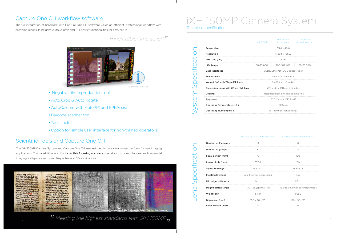## iXH 150MP Camera System

#### Phase One RS 72mm MkII lens Schneider Kreuznach 120mm

Technical specifications

Lens Specification

 $\frac{S}{C}$ 

Specification

|                                    | <b>IXH 150MP</b>                      | iXH 150MP                       | <b>IXH 150MP</b><br>Achromatic Wide Spectrum |
|------------------------------------|---------------------------------------|---------------------------------|----------------------------------------------|
| Sensor size                        |                                       | $53.4 \times 40.0$              |                                              |
| Resolution                         | 14204 x 10652                         |                                 |                                              |
| Pixel size $(\mu m)$               | 3.76                                  |                                 |                                              |
| <b>ISO Range</b>                   |                                       | 50-25,600 200-102,400 50-25,600 |                                              |
| Data Interfaces                    | USB3, Ethernet 10G Copper/Fiber       |                                 |                                              |
| <b>File Formats</b>                | Raw 14bit, Raw 16bit                  |                                 |                                              |
| Weight (gr) with 72mm MkII lens    | 3.450 inc. L-Bracket                  |                                 |                                              |
| Dimension (mm) with 72mm MkII lens | 227 x 130 x 130 inc. L-Bracket        |                                 |                                              |
| Cooling                            | Integrated heat sink and cooling fins |                                 |                                              |
| Approvals                          | FCC Class A. CE. RoHS                 |                                 |                                              |
| Operating Temperature (°C)         | $-10$ to 40                           |                                 |                                              |
| <b>Operating Humidity (%)</b>      | 15 - 80 (non-condensing)              |                                 |                                              |

| <b>Number of Elements</b>  | 13                         | 8                                                                  |  |
|----------------------------|----------------------------|--------------------------------------------------------------------|--|
| Number of groups           | 8                          | 4                                                                  |  |
| Focal Length (mm)          | 72                         | 120                                                                |  |
| Image circle (mm)          | 67.36                      | 110                                                                |  |
| <b>Aperture Range</b>      | $f5.6 - f22$               | $f5.6 - f22$                                                       |  |
| <b>Floating Element</b>    | Yes- Firmware controlled   | No                                                                 |  |
| Min. object distance       | 44cm                       | 67cm                                                               |  |
| <b>Magnification range</b> |                            | $1:70 - 1:3$ (optimal 1:11) $1:6.9$ to 1:.1.2 with extension tubes |  |
| Weight (gr)                | 1,470                      | 1.050                                                              |  |
| Dimension (mm)             | $150 \times 90 \times 115$ | 150 x 90x 115                                                      |  |
| Filter Thread (mm)         | 77                         | 46                                                                 |  |

### Scientific Tools and Capture One CH

The iXH 150MP Camera System and Capture One CH are designed to provide an open platform for new imaging applications. The capabilities and the *incredible focusing accuracy* open doors to computational and sequential imaging, indispensable for multi-spectral and 3D applications.



*Meeting the highest standards with iXH 150MP* ""



The full integration of hardware with Capture One CH software yields an efficient, professional workflow with precision results. It includes AutoColumn and PPI-Assist functionalities for easy setup.

*<u><i>Incredible time saver!*</u>

### Capture One CH workflow software

- Negative film reproduction tool
- •Auto Crop & Auto Rotate
- •AutoColumn with AutoPPI and PPI-Assist
- •Barcode scanner tool
- •Tools lock
- •Option for simple user interface for non-trained operators